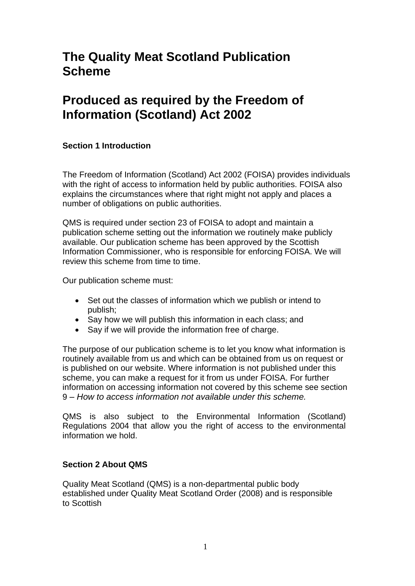# **The Quality Meat Scotland Publication Scheme**

# **Produced as required by the Freedom of Information (Scotland) Act 2002**

### **Section 1 Introduction**

The Freedom of Information (Scotland) Act 2002 (FOISA) provides individuals with the right of access to information held by public authorities. FOISA also explains the circumstances where that right might not apply and places a number of obligations on public authorities.

QMS is required under section 23 of FOISA to adopt and maintain a publication scheme setting out the information we routinely make publicly available. Our publication scheme has been approved by the Scottish Information Commissioner, who is responsible for enforcing FOISA. We will review this scheme from time to time.

Our publication scheme must:

- Set out the classes of information which we publish or intend to publish;
- Say how we will publish this information in each class; and
- Say if we will provide the information free of charge.

The purpose of our publication scheme is to let you know what information is routinely available from us and which can be obtained from us on request or is published on our website. Where information is not published under this scheme, you can make a request for it from us under FOISA. For further information on accessing information not covered by this scheme see section 9 *– How to access information not available under this scheme.*

QMS is also subject to the Environmental Information (Scotland) Regulations 2004 that allow you the right of access to the environmental information we hold.

#### **Section 2 About QMS**

Quality Meat Scotland (QMS) is a non-departmental public body established under Quality Meat Scotland Order (2008) and is responsible to Scottish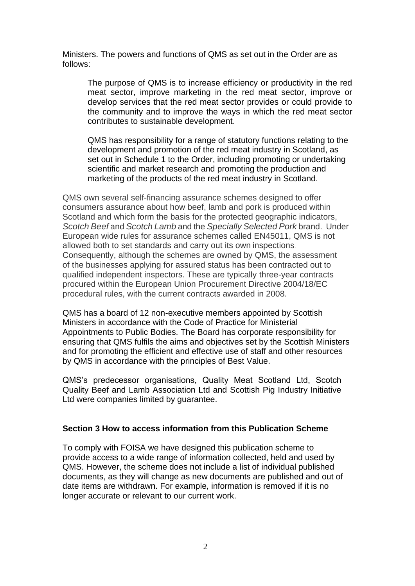Ministers. The powers and functions of QMS as set out in the Order are as follows:

The purpose of QMS is to increase efficiency or productivity in the red meat sector, improve marketing in the red meat sector, improve or develop services that the red meat sector provides or could provide to the community and to improve the ways in which the red meat sector contributes to sustainable development.

QMS has responsibility for a range of statutory functions relating to the development and promotion of the red meat industry in Scotland, as set out in Schedule 1 to the Order, including promoting or undertaking scientific and market research and promoting the production and marketing of the products of the red meat industry in Scotland.

QMS own several self-financing assurance schemes designed to offer consumers assurance about how beef, lamb and pork is produced within Scotland and which form the basis for the protected geographic indicators, *Scotch Beef* and *Scotch Lamb* and the *Specially Selected Pork* brand. Under European wide rules for assurance schemes called EN45011, QMS is not allowed both to set standards and carry out its own inspections. Consequently, although the schemes are owned by QMS, the assessment of the businesses applying for assured status has been contracted out to qualified independent inspectors. These are typically three-year contracts procured within the European Union Procurement Directive 2004/18/EC procedural rules, with the current contracts awarded in 2008.

QMS has a board of 12 non-executive members appointed by Scottish Ministers in accordance with the Code of Practice for Ministerial Appointments to Public Bodies. The Board has corporate responsibility for ensuring that QMS fulfils the aims and objectives set by the Scottish Ministers and for promoting the efficient and effective use of staff and other resources by QMS in accordance with the principles of Best Value.

QMS's predecessor organisations, Quality Meat Scotland Ltd, Scotch Quality Beef and Lamb Association Ltd and Scottish Pig Industry Initiative Ltd were companies limited by guarantee.

#### **Section 3 How to access information from this Publication Scheme**

To comply with FOISA we have designed this publication scheme to provide access to a wide range of information collected, held and used by QMS. However, the scheme does not include a list of individual published documents, as they will change as new documents are published and out of date items are withdrawn. For example, information is removed if it is no longer accurate or relevant to our current work.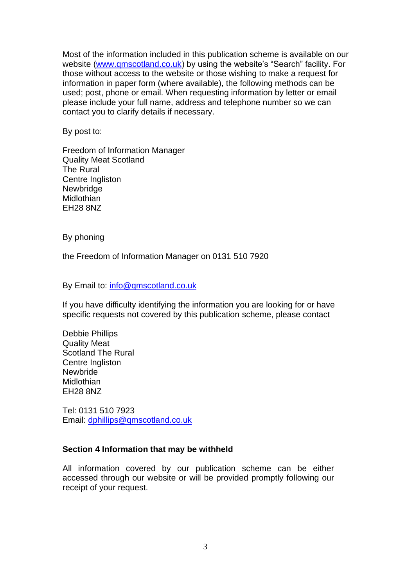Most of the information included in this publication scheme is available on our website [\(www.qmscotland.co.uk\)](http://www.qmscotland.co.uk/) by using the website's "Search" facility. For those without access to the website or those wishing to make a request for information in paper form (where available), the following methods can be used; post, phone or email. When requesting information by letter or email please include your full name, address and telephone number so we can contact you to clarify details if necessary.

By post to:

Freedom of Information Manager Quality Meat Scotland The Rural Centre Ingliston **Newbridge Midlothian** EH28 8NZ

By phoning

the Freedom of Information Manager on 0131 510 7920

By Email to: [info@qmscotland.co.uk](mailto:info@qmscotland.co.uk)

If you have difficulty identifying the information you are looking for or have specific requests not covered by this publication scheme, please contact

Debbie Phillips Quality Meat Scotland The Rural Centre Ingliston **Newbride Midlothian** EH28 8NZ

Tel: 0131 510 7923 Email: [dphillips@qmscotland.co.uk](mailto:dphillips@qmscotland.co.uk)

#### **Section 4 Information that may be withheld**

All information covered by our publication scheme can be either accessed through our website or will be provided promptly following our receipt of your request.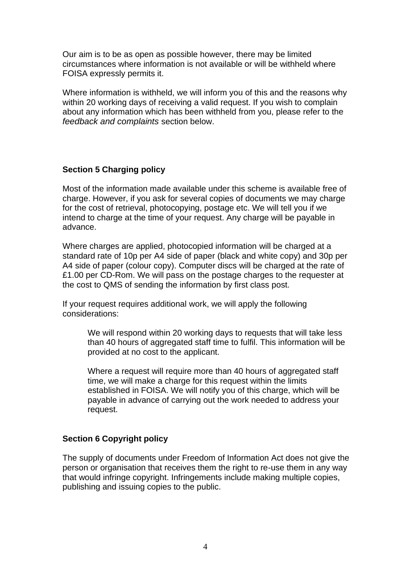Our aim is to be as open as possible however, there may be limited circumstances where information is not available or will be withheld where FOISA expressly permits it.

Where information is withheld, we will inform you of this and the reasons why within 20 working days of receiving a valid request. If you wish to complain about any information which has been withheld from you, please refer to the *feedback and complaints* section below.

### **Section 5 Charging policy**

Most of the information made available under this scheme is available free of charge. However, if you ask for several copies of documents we may charge for the cost of retrieval, photocopying, postage etc. We will tell you if we intend to charge at the time of your request. Any charge will be payable in advance.

Where charges are applied, photocopied information will be charged at a standard rate of 10p per A4 side of paper (black and white copy) and 30p per A4 side of paper (colour copy). Computer discs will be charged at the rate of £1.00 per CD-Rom. We will pass on the postage charges to the requester at the cost to QMS of sending the information by first class post.

If your request requires additional work, we will apply the following considerations:

> We will respond within 20 working days to requests that will take less than 40 hours of aggregated staff time to fulfil. This information will be provided at no cost to the applicant.

Where a request will require more than 40 hours of aggregated staff time, we will make a charge for this request within the limits established in FOISA. We will notify you of this charge, which will be payable in advance of carrying out the work needed to address your request.

#### **Section 6 Copyright policy**

The supply of documents under Freedom of Information Act does not give the person or organisation that receives them the right to re-use them in any way that would infringe copyright. Infringements include making multiple copies, publishing and issuing copies to the public.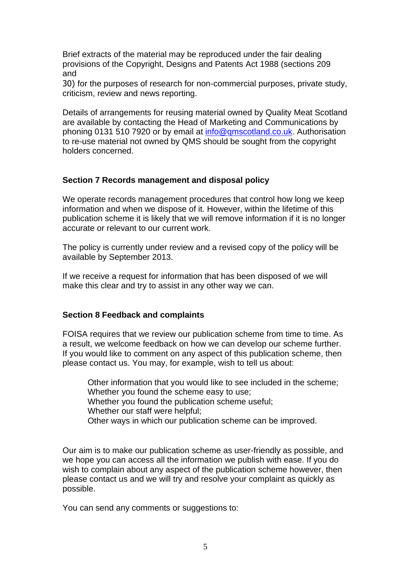Brief extracts of the material may be reproduced under the fair dealing provisions of the Copyright, Designs and Patents Act 1988 (sections 209 and

30) for the purposes of research for non-commercial purposes, private study, criticism, review and news reporting.

Details of arrangements for reusing material owned by Quality Meat Scotland are available by contacting the Head of Marketing and Communications by phoning 0131 510 7920 or by email at [info@qmscotland.co.uk.](mailto:info@qmscotland.co.uk) Authorisation to re-use material not owned by QMS should be sought from the copyright holders concerned.

#### **Section 7 Records management and disposal policy**

We operate records management procedures that control how long we keep information and when we dispose of it. However, within the lifetime of this publication scheme it is likely that we will remove information if it is no longer accurate or relevant to our current work.

The policy is currently under review and a revised copy of the policy will be available by September 2013.

If we receive a request for information that has been disposed of we will make this clear and try to assist in any other way we can.

#### **Section 8 Feedback and complaints**

FOISA requires that we review our publication scheme from time to time. As a result, we welcome feedback on how we can develop our scheme further. If you would like to comment on any aspect of this publication scheme, then please contact us. You may, for example, wish to tell us about:

Other information that you would like to see included in the scheme; Whether you found the scheme easy to use; Whether you found the publication scheme useful; Whether our staff were helpful; Other ways in which our publication scheme can be improved.

Our aim is to make our publication scheme as user-friendly as possible, and we hope you can access all the information we publish with ease. If you do wish to complain about any aspect of the publication scheme however, then please contact us and we will try and resolve your complaint as quickly as possible.

You can send any comments or suggestions to: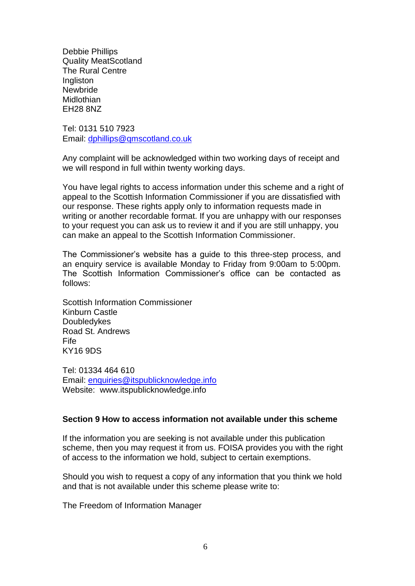Debbie Phillips Quality MeatScotland The Rural Centre Ingliston Newbride Midlothian EH28 8NZ

Tel: 0131 510 7923 Email: [dphillips@qmscotland.co.uk](mailto:dphillips@qmscotland.co.uk)

Any complaint will be acknowledged within two working days of receipt and we will respond in full within twenty working days.

You have legal rights to access information under this scheme and a right of appeal to the Scottish Information Commissioner if you are dissatisfied with our response. These rights apply only to information requests made in writing or another recordable format. If you are unhappy with our responses to your request you can ask us to review it and if you are still unhappy, you can make an appeal to the Scottish Information Commissioner.

The Commissioner's website has a guide to this three-step process, and an enquiry service is available Monday to Friday from 9:00am to 5:00pm. The Scottish Information Commissioner's office can be contacted as follows:

Scottish Information Commissioner Kinburn Castle Doubledykes Road St. Andrews Fife KY16 9DS

Tel: 01334 464 610 Email: [enquiries@itspublicknowledge.info](mailto:enquiries@itspublicknowledge.info) Website: [www.itspublicknowledge.info](http://www.itspublicknowledge.info/)

#### **Section 9 How to access information not available under this scheme**

If the information you are seeking is not available under this publication scheme, then you may request it from us. FOISA provides you with the right of access to the information we hold, subject to certain exemptions.

Should you wish to request a copy of any information that you think we hold and that is not available under this scheme please write to:

The Freedom of Information Manager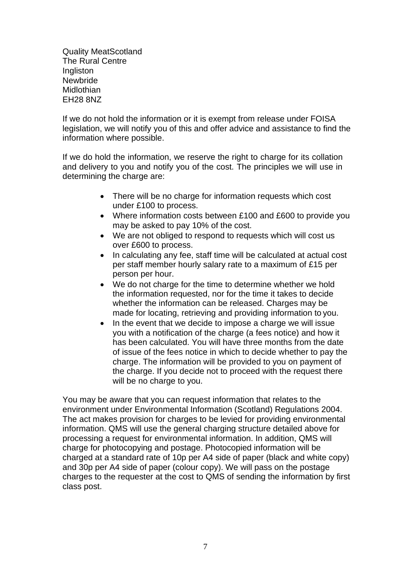Quality MeatScotland The Rural Centre **Ingliston** Newbride **Midlothian** EH28 8NZ

If we do not hold the information or it is exempt from release under FOISA legislation, we will notify you of this and offer advice and assistance to find the information where possible.

If we do hold the information, we reserve the right to charge for its collation and delivery to you and notify you of the cost. The principles we will use in determining the charge are:

- There will be no charge for information requests which cost under £100 to process.
- Where information costs between £100 and £600 to provide you may be asked to pay 10% of the cost.
- We are not obliged to respond to requests which will cost us over £600 to process.
- In calculating any fee, staff time will be calculated at actual cost per staff member hourly salary rate to a maximum of £15 per person per hour.
- We do not charge for the time to determine whether we hold the information requested, nor for the time it takes to decide whether the information can be released. Charges may be made for locating, retrieving and providing information to you.
- In the event that we decide to impose a charge we will issue you with a notification of the charge (a fees notice) and how it has been calculated. You will have three months from the date of issue of the fees notice in which to decide whether to pay the charge. The information will be provided to you on payment of the charge. If you decide not to proceed with the request there will be no charge to you.

You may be aware that you can request information that relates to the environment under Environmental Information (Scotland) Regulations 2004. The act makes provision for charges to be levied for providing environmental information. QMS will use the general charging structure detailed above for processing a request for environmental information. In addition, QMS will charge for photocopying and postage. Photocopied information will be charged at a standard rate of 10p per A4 side of paper (black and white copy) and 30p per A4 side of paper (colour copy). We will pass on the postage charges to the requester at the cost to QMS of sending the information by first class post.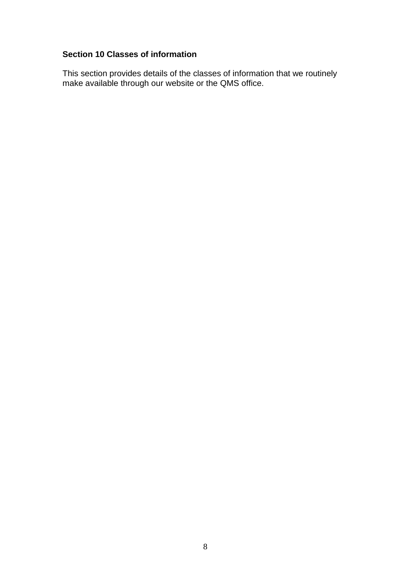#### **Section 10 Classes of information**

This section provides details of the classes of information that we routinely make available through our website or the QMS office.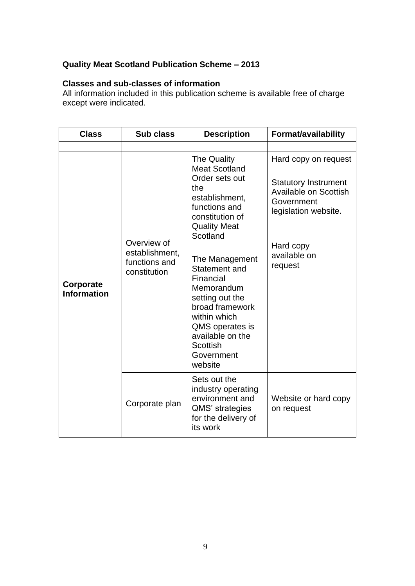# **Quality Meat Scotland Publication Scheme – 2013**

## **Classes and sub-classes of information**

All information included in this publication scheme is available free of charge except were indicated.

| <b>Class</b>                    | <b>Sub class</b>                                               | <b>Description</b>                                                                                                                                                                                                                                                                                                                                                  | <b>Format/availability</b>                                                                                                                                        |
|---------------------------------|----------------------------------------------------------------|---------------------------------------------------------------------------------------------------------------------------------------------------------------------------------------------------------------------------------------------------------------------------------------------------------------------------------------------------------------------|-------------------------------------------------------------------------------------------------------------------------------------------------------------------|
|                                 |                                                                |                                                                                                                                                                                                                                                                                                                                                                     |                                                                                                                                                                   |
| Corporate<br><b>Information</b> | Overview of<br>establishment,<br>functions and<br>constitution | <b>The Quality</b><br><b>Meat Scotland</b><br>Order sets out<br>the<br>establishment,<br>functions and<br>constitution of<br><b>Quality Meat</b><br>Scotland<br>The Management<br>Statement and<br>Financial<br>Memorandum<br>setting out the<br>broad framework<br>within which<br>QMS operates is<br>available on the<br><b>Scottish</b><br>Government<br>website | Hard copy on request<br><b>Statutory Instrument</b><br><b>Available on Scottish</b><br>Government<br>legislation website.<br>Hard copy<br>available on<br>request |
|                                 | Corporate plan                                                 | Sets out the<br>industry operating<br>environment and<br>QMS' strategies<br>for the delivery of<br>its work                                                                                                                                                                                                                                                         | Website or hard copy<br>on request                                                                                                                                |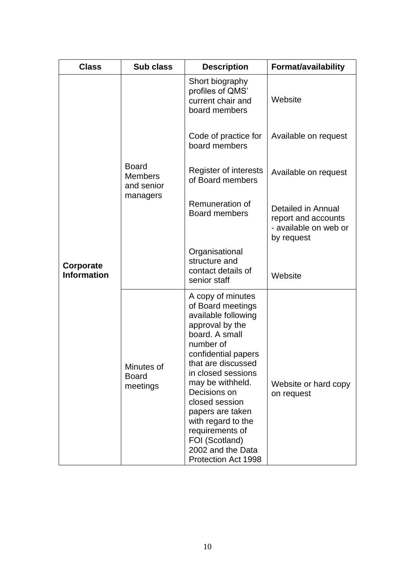| <b>Class</b>                    | Sub class                                                | <b>Description</b>                                                                                                                                                                                                                                                                                                                                                  | Format/availability                                                              |
|---------------------------------|----------------------------------------------------------|---------------------------------------------------------------------------------------------------------------------------------------------------------------------------------------------------------------------------------------------------------------------------------------------------------------------------------------------------------------------|----------------------------------------------------------------------------------|
|                                 |                                                          | Short biography<br>profiles of QMS'<br>current chair and<br>board members                                                                                                                                                                                                                                                                                           | Website                                                                          |
|                                 |                                                          | Code of practice for<br>board members                                                                                                                                                                                                                                                                                                                               | Available on request                                                             |
|                                 | <b>Board</b><br><b>Members</b><br>and senior<br>managers | Register of interests<br>of Board members                                                                                                                                                                                                                                                                                                                           | Available on request                                                             |
| Corporate<br><b>Information</b> |                                                          | Remuneration of<br><b>Board members</b>                                                                                                                                                                                                                                                                                                                             | Detailed in Annual<br>report and accounts<br>- available on web or<br>by request |
|                                 |                                                          | Organisational<br>structure and<br>contact details of<br>senior staff                                                                                                                                                                                                                                                                                               | Website                                                                          |
|                                 | Minutes of<br><b>Board</b><br>meetings                   | A copy of minutes<br>of Board meetings<br>available following<br>approval by the<br>board. A small<br>number of<br>confidential papers<br>that are discussed<br>in closed sessions<br>may be withheld.<br>Decisions on<br>closed session<br>papers are taken<br>with regard to the<br>requirements of<br>FOI (Scotland)<br>2002 and the Data<br>Protection Act 1998 | Website or hard copy<br>on request                                               |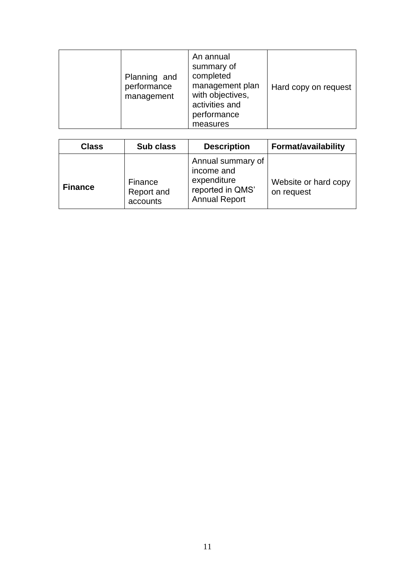| Planning and<br>performance<br>management | An annual<br>summary of<br>completed<br>management plan<br>with objectives,<br>activities and<br>performance<br>measures | Hard copy on request |
|-------------------------------------------|--------------------------------------------------------------------------------------------------------------------------|----------------------|
|-------------------------------------------|--------------------------------------------------------------------------------------------------------------------------|----------------------|

| <b>Class</b>   | Sub class                         | <b>Description</b>                                                                         | <b>Format/availability</b>         |
|----------------|-----------------------------------|--------------------------------------------------------------------------------------------|------------------------------------|
| <b>Finance</b> | Finance<br>Report and<br>accounts | Annual summary of<br>income and<br>expenditure<br>reported in QMS'<br><b>Annual Report</b> | Website or hard copy<br>on request |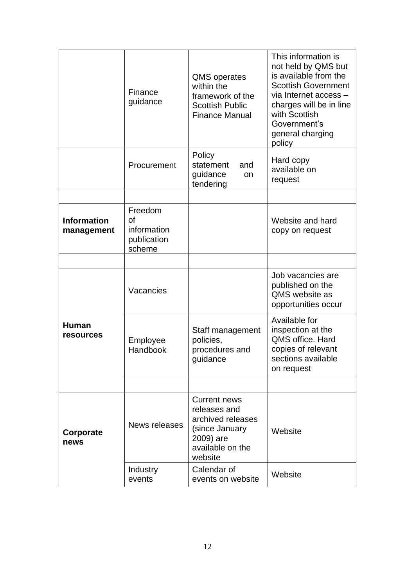|                                  | Finance<br>guidance                                   | <b>QMS</b> operates<br>within the<br>framework of the<br><b>Scottish Public</b><br><b>Finance Manual</b>               | This information is<br>not held by QMS but<br>is available from the<br><b>Scottish Government</b><br>via Internet access -<br>charges will be in line<br>with Scottish<br>Government's<br>general charging<br>policy |
|----------------------------------|-------------------------------------------------------|------------------------------------------------------------------------------------------------------------------------|----------------------------------------------------------------------------------------------------------------------------------------------------------------------------------------------------------------------|
|                                  | Procurement                                           | Policy<br>statement<br>and<br>guidance<br>on<br>tendering                                                              | Hard copy<br>available on<br>request                                                                                                                                                                                 |
|                                  |                                                       |                                                                                                                        |                                                                                                                                                                                                                      |
| <b>Information</b><br>management | Freedom<br>of<br>information<br>publication<br>scheme |                                                                                                                        | Website and hard<br>copy on request                                                                                                                                                                                  |
|                                  |                                                       |                                                                                                                        |                                                                                                                                                                                                                      |
| <b>Human</b><br>resources        | Vacancies                                             |                                                                                                                        | Job vacancies are<br>published on the<br>QMS website as<br>opportunities occur                                                                                                                                       |
|                                  | Employee<br>Handbook                                  | Staff management<br>policies,<br>procedures and<br>guidance                                                            | Available for<br>inspection at the<br>QMS office. Hard<br>copies of relevant<br>sections available<br>on request                                                                                                     |
|                                  |                                                       |                                                                                                                        |                                                                                                                                                                                                                      |
| Corporate<br>news                | News releases                                         | <b>Current news</b><br>releases and<br>archived releases<br>(since January<br>2009) are<br>available on the<br>website | Website                                                                                                                                                                                                              |
|                                  | Industry<br>events                                    | Calendar of<br>events on website                                                                                       | Website                                                                                                                                                                                                              |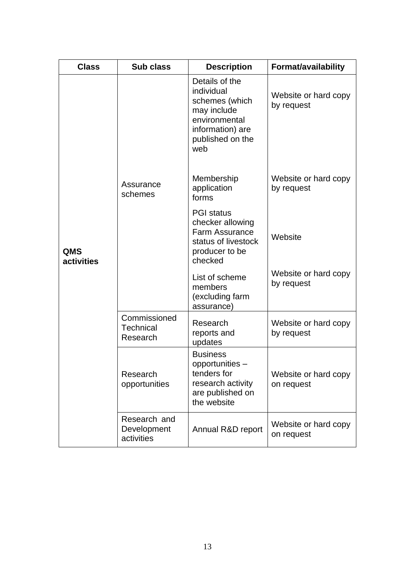| <b>Class</b>             | Sub class                                    | <b>Description</b>                                                                                                            | Format/availability                |
|--------------------------|----------------------------------------------|-------------------------------------------------------------------------------------------------------------------------------|------------------------------------|
|                          |                                              | Details of the<br>individual<br>schemes (which<br>may include<br>environmental<br>information) are<br>published on the<br>web | Website or hard copy<br>by request |
|                          | Assurance<br>schemes                         | Membership<br>application<br>forms                                                                                            | Website or hard copy<br>by request |
| <b>QMS</b><br>activities |                                              | <b>PGI</b> status<br>checker allowing<br><b>Farm Assurance</b><br>status of livestock<br>producer to be<br>checked            | Website                            |
|                          |                                              | List of scheme<br>members<br>(excluding farm<br>assurance)                                                                    | Website or hard copy<br>by request |
|                          | Commissioned<br><b>Technical</b><br>Research | Research<br>reports and<br>updates                                                                                            | Website or hard copy<br>by request |
|                          | Research<br>opportunities                    | <b>Business</b><br>opportunities -<br>tenders for<br>research activity<br>are published on<br>the website                     | Website or hard copy<br>on request |
|                          | Research and<br>Development<br>activities    | Annual R&D report                                                                                                             | Website or hard copy<br>on request |